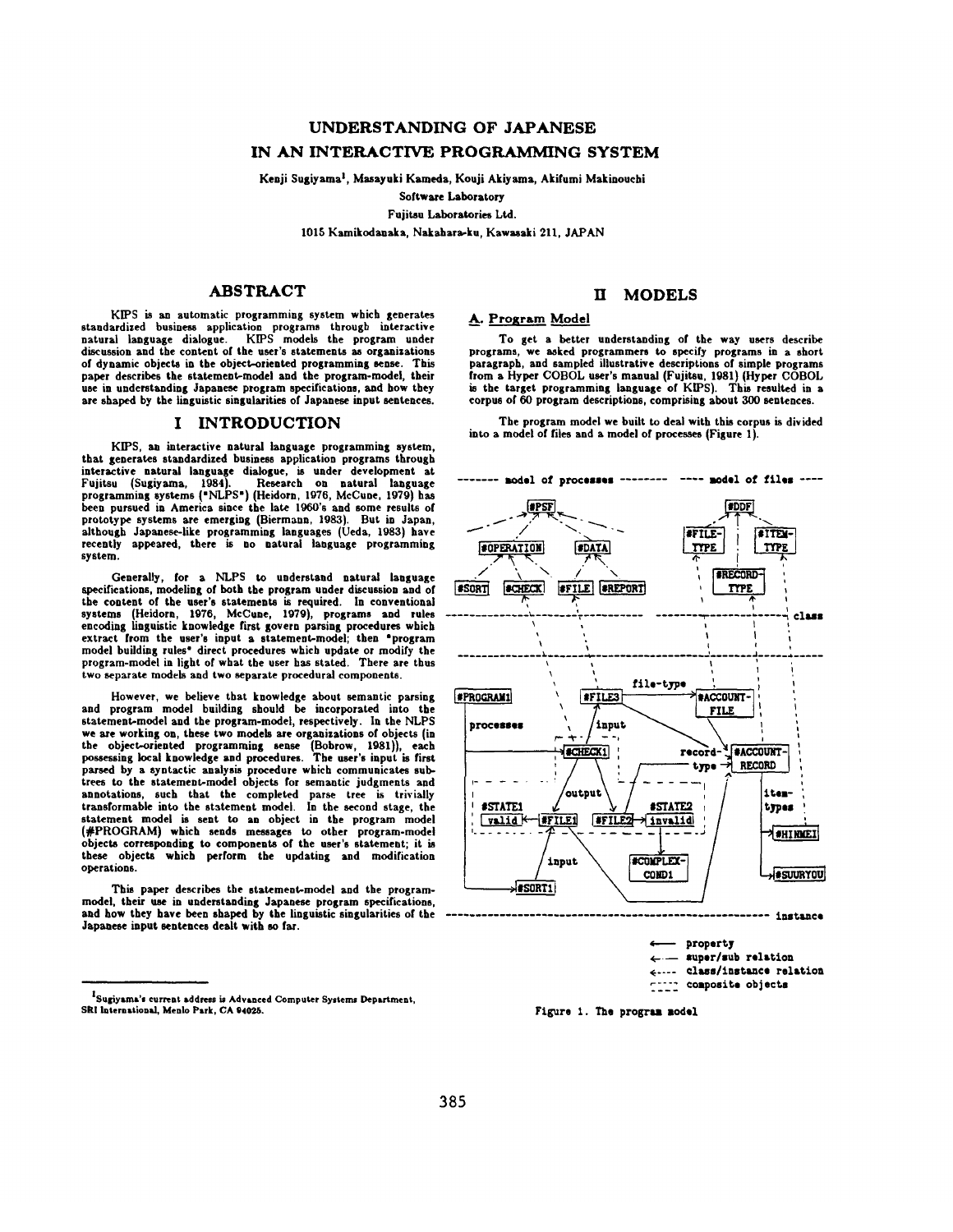# **UNDERSTANDING OF JAPANESE IN AN INTERACTIVE PROGRAMMING SYSTEM**

Kenji Sugiyama<sup>1</sup>, Masayuki Kameda, Kouji Akiyama, Akifumi Makinouchi

Software Laboratory

Fujitsu Laboratories Ltd.

1015 Kamikodanaka, Nakahara-ku, Kawasaki 211, JAPAN

# **ABSTRACT**

KIPS is an automatic programming system which generates standardized business application programs through interactive natural language dialogue. KIPS models the program under discussion and the content of the user's statements as organizations of dynamic objects in the object-oriented programming sense. This paper describes the statement-model and the program-model, their use in understanding Japanese program specifications, and bow they are shaped by the linguistic singularities of Japanese input sentences.

#### **I INTRODUCTION**

KIPS, an interactive natural language programming system, that generates standardized business application programs through interactive natural language dialogue, is under development at Fujitsu (Sugiyama, 1984). Research on natural language<br>programming\_systems ("NLPS") (Heidorn, 1976, McCune, 1979) has<br>been pursued in America\_since\_the\_late\_1960's\_and\_some\_results\_of prototype systems are emerging (Biermaun, 1983). But in Japan, although Japanese-like programming languages (Ueda, 1983) have recently appeared, there is no natural language programming system.

Generally, for a NLPS to understand natural language specifications, modeling of both the program under discussion and of the content of the user's statements is required. In conventional<br>systems (Heidorn, 1976, McCune, 1979), programs and rules<br>encoding linguistic knowledge first govern parsing procedures which extract from the user's input a statement-model; then "program model building rules" direct procedures which update or modify the program-model in light of what the user has stated. There are thus two separate models and two separate procedural components.

However, we believe that knowledge about semantic parsing and program model building should be incorporated into the<br>statement-model and the program-model, respectively. In the NLPS we are working on, these two models are organizations of objects (in the object-oriented programming sense (Bobrow, 1981)), each possessing local knowledge and procedures. The user's input is first parsed by a syntactic analysis procedure which communicates subtrees to the statement-model objects for semantic judgments and annotations, such that the completed parse tree is trivially transformable into the statement model. In the second stage, the statement model is sent to an object in the program model (#PROGRAM) which sends messages to other program-model objects corresponding to components of the user's statement; it is these objects which perform the updating and modification operations.

This paper describes the statement-model and the programmodel, their use in understanding Japanese program specifications, and how they have been shaped by the linguistic singularities of the Japanese input sentences dealt with so far.

# **II MODELS**

## A. Program Model

To get a better understanding of the way users describe programs, we asked programmers to specify programs in a short paragraph, and sampled illustrative descriptions of simple programs from a Hyper COBOL user's manual (Fujitsu, 1981) (Hyper COBOL is the target programming language of KIPS). This resulted in a corpus of 60 program descriptions, comprising about 300 sentences.

The program model we built to deal with this corpus is divided into a model of files and a model of processes (Figure I).





<sup>&</sup>lt;sup>I</sup>Sugiyama's current address is Advanced Computer Systems Department, **SRI** InternatlonsJ, Menlo Park, CA 94028.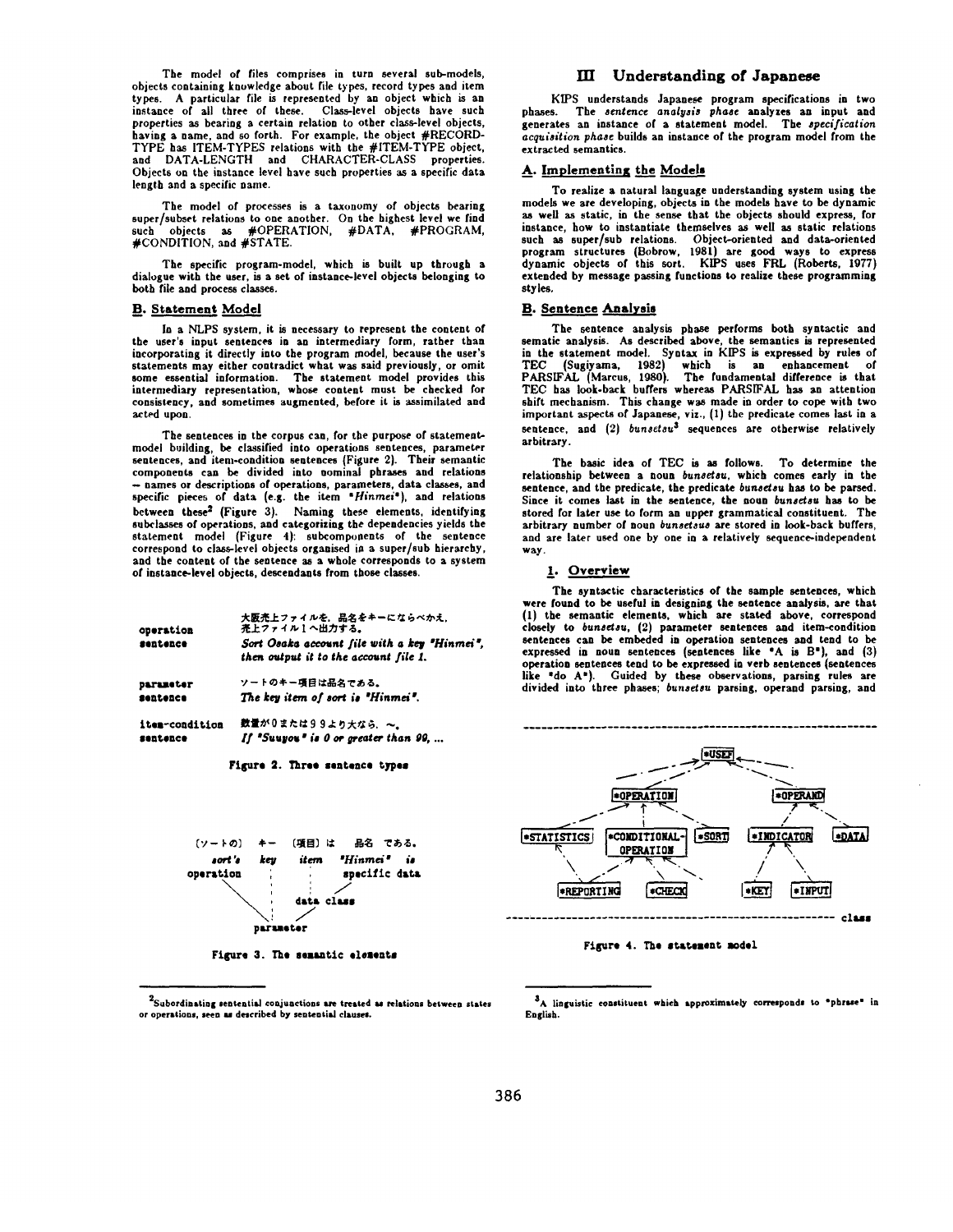The model of files comprises in turn several sub-models, objects containing knowledge about file types, record types and item types. A particular file is represented by an object which is an instance of all three of these. Class-level objects have such properties as bearing a certain relation to other class-level objects, having a name, and so forth. For example, the object #RECORD-TYPE has ITEM-TYPES relations with the #1TEM-TYPE object, and DATA-LENGTH and CHARACTER-CLASS properties. Objects on the instance level have such properties as a specific data length and a specific name.

The model of processes is a taxonomy of objects bearing super/subset relations to one another. On the highest level we find such objects as #OPERATION, #DATA, #PROGRAM, #CONDITION, and #STATE.

The specific program-model, which is built up through a dialogue with the user, is a set of instance-level objects belonging to both file and process classes.

#### B. Statement Model

sentence

In a NLPS system, it is necessary to represent the content of the user's input sentences in an intermediary form, rather than incorporating it directly into the program model, because the user's statements may either contradict what was said previously, or omit some essential information. The statement model provides this intermediary representation, whose content must be checked for consistency, and sometimes augmented, before it is assimilated and acted upon.

The sentences in the corpus can, for the purpose of statementmodel building, be classified into operations sentences, parameter sentences, and item-condition sentences (Figure 2). Their semantic components can be divided into nominal phrases and relations **-** names or descriptions of operations, parameters, data classes, and specific pieces of data (e.g. the item *"Hinmei'),* and relations between these<sup>2</sup> (Figure 3). Naming these elements, identifying subclasses of operations, and categorizing the dependencies yields the statement model (Figure 4): subcomponents of the sentence correspond to class-level objects organised in a super/sub hierarchy, and the content of the sentence as a whole corresponds to a system of instance-level objects, descendants from those classes.

| operation      | 大阪売上ファイルを、品名をキーにならべかえ、<br>売上ファイル1へ出力する。                                               |  |  |  |  |  |
|----------------|---------------------------------------------------------------------------------------|--|--|--|--|--|
| sentence       | Sort Osaka account file with a key "Hinmei".<br>then output it to the account file 1. |  |  |  |  |  |
| parameter      | ソートのキー項目は品名である。                                                                       |  |  |  |  |  |
| sentence       | The key item of sort is "Hinmei".                                                     |  |  |  |  |  |
| iten-condition | 数量が0または99より大なら、~。                                                                     |  |  |  |  |  |

| . |                                       |  |  |  |
|---|---------------------------------------|--|--|--|
|   | If "Sunyon" is 0 or greater than 99,. |  |  |  |





Figure 3. The semantic elements

**or operations, seen u described by seutentisl clauseS,** 

 $^2$ Subordinating sentential conjunctions are treated as relations between states

#### HI Understanding of Japanese

KIPS understands Japanese program specifications in two phases. The *sentence analysis phase* analyzes an input and generates an instance of a statement model. The *specification acquisition phase* builds an instance of the program model from the extracted semantics.

#### A. Implementing the Models

**To realize a** natural language understanding system using the models we are developing, objects in the models have to be dynamic as well as static, in the sense that the objects should express, for instance, how to instantiate themselves as well as static relations such as super/sub relations. Object-oriented and data-oriented program structures (Bobrow, 1981) are good ways to express dynamic objects of this sort. KIPS uses FRL (Roberts, 1977) extended by message passing functions to realize these programming styles.

#### **B.** Sentence Analysis

The sentence analysis phase performs both syntactic and sematic analysis. As described above, the semantics is represented in the statement model. Syntax in KIPS is expressed by rules of TEC (Sugiyama, 1982) which is an enhancement of PARSIFAL (Marcus, 1980). The fundamental difference is that TEC has look-back buffers whereas PARSIFAL has an attention shift mechanism. This change was made in order to cope with two important aspects of Japanese, viz., (1) the predicate comes last in a sentence, and (2) *bunsetsu*<sup>3</sup> sequences are otherwise relatively arbitrary.

The basic idea of TEC is as follows. To determine the relationship between a noun *bunsetsu*, which comes early in the sentence, and the predicate, the predicate *bunsetsu* has to be parsed. Since it comes last in the sentence, the noun *bunsetsu* has to be stored for later use to form an upper grammatical constituent. The arbitrary number of noun *bunsetsus* are stored in look-back buffers, and are later used one by one in a relatively sequence-independent way.

#### 1. Overview

The syntactic characteristics of the sample sentences, which were found to be useful in designing the sentence analysis, are that (1) the semantic elements, which are stated above, correspond closely to *bunsetsu,* (2) parameter sentences and item-condition sentences can be embeded in operation sentences and tend to be expressed in noun sentences (sentences like "A is B'), and (3) operation sentences tend to be expressed in verb sentences (sentences like "do A'). Guided by these observations, parsing rules are divided into three phases; *bunsetsu* parsing, operand parsing, and



Figure 4. The statement model

<sup>&</sup>lt;sup>3</sup>A linguistic constituent which approximately corresponds to "phrase" in English.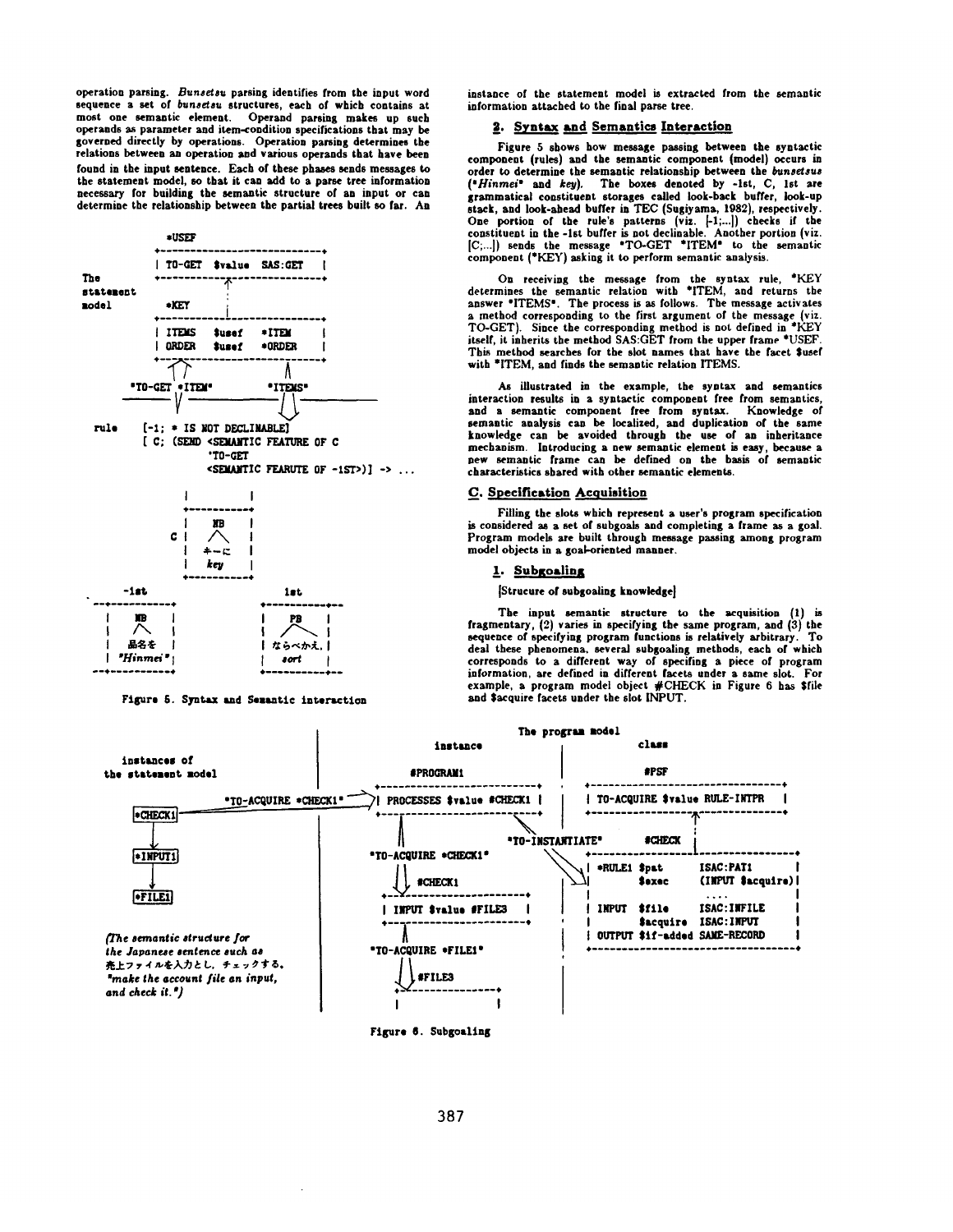operation parsing. Bunsetsu parsing identifies from the input word<br>sequence a set of bunsetsu structures, each of which contains at most one semantic element. Operand parsing makes up such operands as parameter and item-condition specifications that may be governed directly by operations. Operation parsing determines the relations between an operation and various operands that have been found in the input sentence. Each of these phases sends messages to the statement model, so that it can add to a parse tree information necessary for building the semantic structure of an input or can determine the relationship between the partial trees built so far. An



Figure 5. Syntax and Semantic interaction

instance of the statement model is extracted from the semantic information attached to the final parse tree

#### 2. Syntax and Semantics Interaction

Figure 5 shows how message passing between the syntactic component (rules) and the semantic component (model) occurs in order to determine the semantic relationship between the bunsetsus ("Hinmei" and key). The boxes denoted by -1st, C, 1st are grammatical constituent storages called look-back buffer, look-up stack, and look-ahead buffer in TEC (Sugiyama, 1982), respectively. One portion of the rule's patterns (viz. [-1,...]) checks if the constituent in the -1st buffer is not declinable. Another portion (viz. [C,...]) sends the message "TO-GET "ITEM" to the semantic component (\*KEY) asking it to perform semantic analysis.

On receiving the message from the syntax rule, \*KEY determines the semantic relation with \*ITEM, and returns the answer "ITEMS". The process is as follows. The message activates a method corresponding to the first argument of the message (viz.<br>TO-GET). Since the corresponding method is not defined in \*KEY itself, it inherits the method SAS:GET from the upper frame \*USEF. This method searches for the slot names that have the facet \$usef with \*ITEM, and finds the semantic relation ITEMS.

As illustrated in the example, the syntax and semantics interaction results in a syntactic component free from semantics, and a semantic component free from syntax. Knowledge of semantic analysis can be localized, and duplication of the same knowledge can be avoided through the use of an inheritance mechanism. Introducing a new semantic element is easy, because a new semantic frame can be defined on the basis of semantic characteristics shared with other semantic elements.

#### C. Specification Acquisition

Filling the slots which represent a user's program specification is considered as a set of subgoals and completing a frame as a goal. Program models are built through message passing among program model objects in a goal-oriented manner.

#### 1. Subgoaling

[Strucure of subgoaling knowledge]

The input semantic structure to the acquisition (1) is fragmentary, (2) varies in specifying the same program, and (3) the sequence of specifying program functions is relatively arbitrary. To deal these phenomena, several subgoaling methods, each of which corresponds to a different way of specifing a piece of program information, are defined in different facets under a same slot. For example, a program model object #CHECK in Figure 6 has \$file<br>and \$acquire facets under the slot INPUT.



Figure 6. Subgoaling